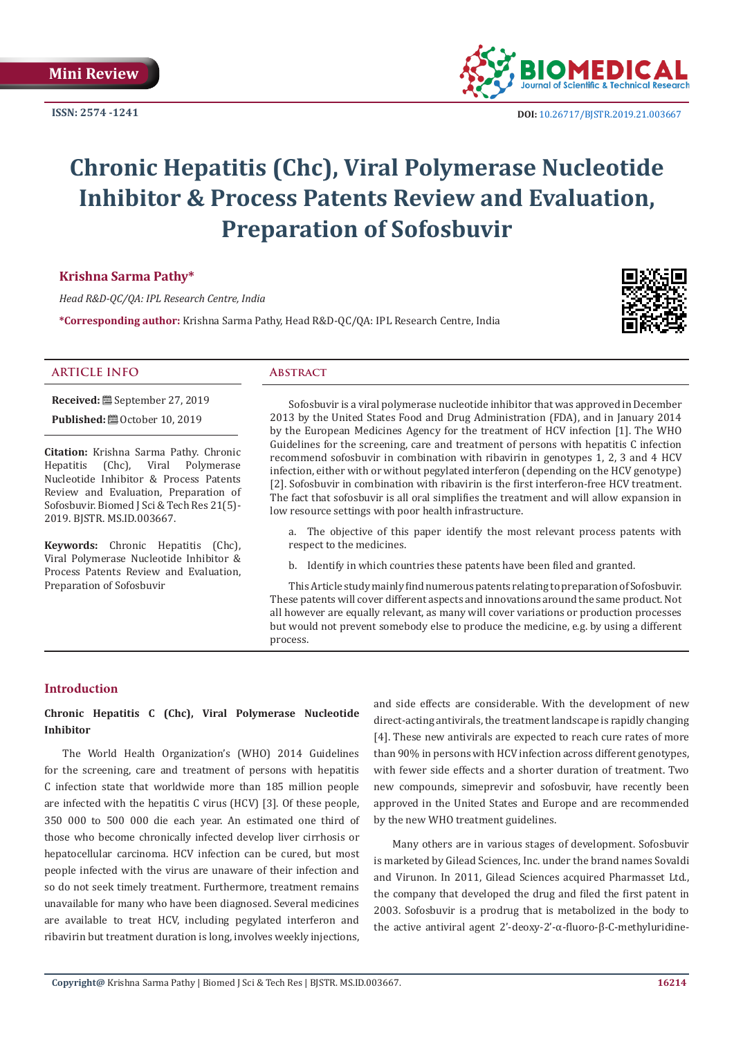**ISSN: 2574 -1241**



 **DOI:** [10.26717/BJSTR.2019.21.0036](http://dx.doi.org/10.26717/BJSTR.2019.21.003667)67

# **Chronic Hepatitis (Chc), Viral Polymerase Nucleotide Inhibitor & Process Patents Review and Evaluation, Preparation of Sofosbuvir**

# **Krishna Sarma Pathy\***

*Head R&D-QC/QA: IPL Research Centre, India*

**\*Corresponding author:** Krishna Sarma Pathy, Head R&D-QC/QA: IPL Research Centre, India



#### **ARTICLE INFO Abstract**

**Received:** September 27, 2019

**Published:**  $\blacksquare$  October 10, 2019

**Citation:** Krishna Sarma Pathy. Chronic Hepatitis (Chc), Viral Polymerase Nucleotide Inhibitor & Process Patents Review and Evaluation, Preparation of Sofosbuvir. Biomed J Sci & Tech Res 21(5)- 2019. BJSTR. MS.ID.003667.

**Keywords:** Chronic Hepatitis (Chc), Viral Polymerase Nucleotide Inhibitor & Process Patents Review and Evaluation, Preparation of Sofosbuvir

Sofosbuvir is a viral polymerase nucleotide inhibitor that was approved in December 2013 by the United States Food and Drug Administration (FDA), and in January 2014 by the European Medicines Agency for the treatment of HCV infection [1]. The WHO Guidelines for the screening, care and treatment of persons with hepatitis C infection recommend sofosbuvir in combination with ribavirin in genotypes 1, 2, 3 and 4 HCV infection, either with or without pegylated interferon (depending on the HCV genotype) [2]. Sofosbuvir in combination with ribavirin is the first interferon-free HCV treatment. The fact that sofosbuvir is all oral simplifies the treatment and will allow expansion in low resource settings with poor health infrastructure.

a. The objective of this paper identify the most relevant process patents with respect to the medicines.

b. Identify in which countries these patents have been filed and granted.

This Article study mainly find numerous patents relating to preparation of Sofosbuvir. These patents will cover different aspects and innovations around the same product. Not all however are equally relevant, as many will cover variations or production processes but would not prevent somebody else to produce the medicine, e.g. by using a different process.

# **Introduction**

# **Chronic Hepatitis C (Chc), Viral Polymerase Nucleotide Inhibitor**

The World Health Organization's (WHO) 2014 Guidelines for the screening, care and treatment of persons with hepatitis C infection state that worldwide more than 185 million people are infected with the hepatitis C virus (HCV) [3]. Of these people, 350 000 to 500 000 die each year. An estimated one third of those who become chronically infected develop liver cirrhosis or hepatocellular carcinoma. HCV infection can be cured, but most people infected with the virus are unaware of their infection and so do not seek timely treatment. Furthermore, treatment remains unavailable for many who have been diagnosed. Several medicines are available to treat HCV, including pegylated interferon and ribavirin but treatment duration is long, involves weekly injections,

and side effects are considerable. With the development of new direct-acting antivirals, the treatment landscape is rapidly changing [4]. These new antivirals are expected to reach cure rates of more than 90% in persons with HCV infection across different genotypes, with fewer side effects and a shorter duration of treatment. Two new compounds, simeprevir and sofosbuvir, have recently been approved in the United States and Europe and are recommended by the new WHO treatment guidelines.

Many others are in various stages of development. Sofosbuvir is marketed by Gilead Sciences, Inc. under the brand names Sovaldi and Virunon. In 2011, Gilead Sciences acquired Pharmasset Ltd., the company that developed the drug and filed the first patent in 2003. Sofosbuvir is a prodrug that is metabolized in the body to the active antiviral agent 2'-deoxy-2'-α-fluoro-β-C-methyluridine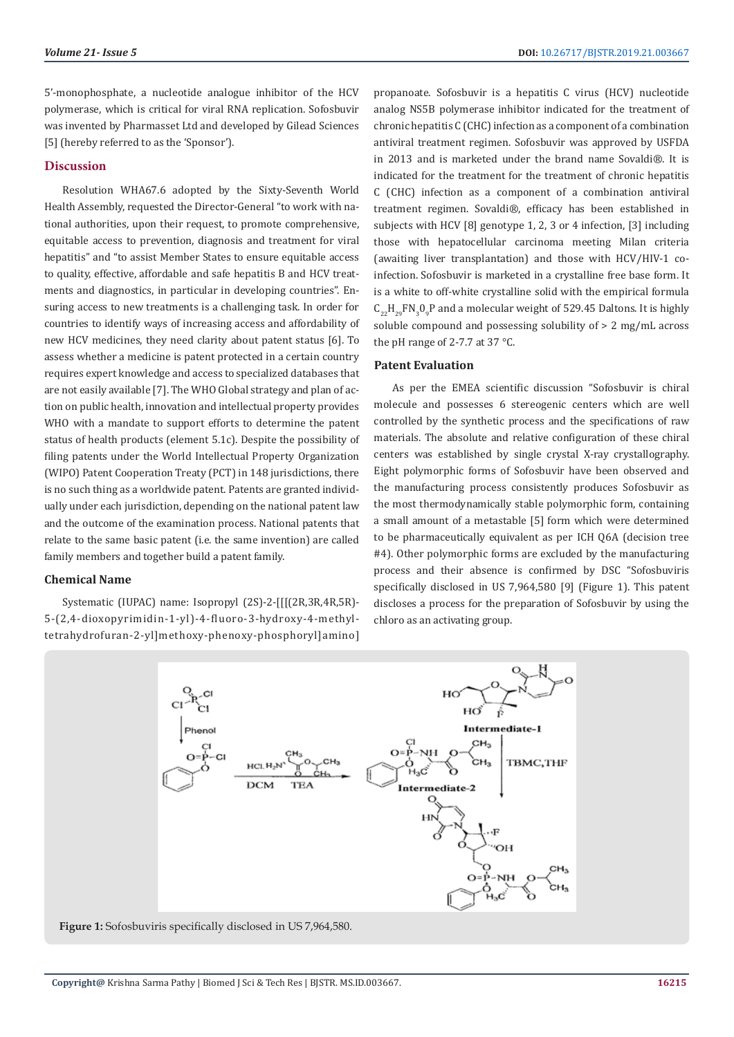5'-monophosphate, a nucleotide analogue inhibitor of the HCV polymerase, which is critical for viral RNA replication. Sofosbuvir was invented by Pharmasset Ltd and developed by Gilead Sciences [5] (hereby referred to as the 'Sponsor').

#### **Discussion**

Resolution WHA67.6 adopted by the Sixty-Seventh World Health Assembly, requested the Director-General "to work with national authorities, upon their request, to promote comprehensive, equitable access to prevention, diagnosis and treatment for viral hepatitis" and "to assist Member States to ensure equitable access to quality, effective, affordable and safe hepatitis B and HCV treatments and diagnostics, in particular in developing countries". Ensuring access to new treatments is a challenging task. In order for countries to identify ways of increasing access and affordability of new HCV medicines, they need clarity about patent status [6]. To assess whether a medicine is patent protected in a certain country requires expert knowledge and access to specialized databases that are not easily available [7]. The WHO Global strategy and plan of action on public health, innovation and intellectual property provides WHO with a mandate to support efforts to determine the patent status of health products (element 5.1c). Despite the possibility of filing patents under the World Intellectual Property Organization (WIPO) Patent Cooperation Treaty (PCT) in 148 jurisdictions, there is no such thing as a worldwide patent. Patents are granted individually under each jurisdiction, depending on the national patent law and the outcome of the examination process. National patents that relate to the same basic patent (i.e. the same invention) are called family members and together build a patent family.

#### **Chemical Name**

Systematic (IUPAC) name: Isopropyl (2S)-2-[[[(2R,3R,4R,5R)- 5-(2,4-dioxopyrimidin-1-yl)-4-fluoro-3-hydroxy-4-methyltetrahydrofuran-2-yl]methoxy-phenoxy-phosphoryl]amino]

propanoate. Sofosbuvir is a hepatitis C virus (HCV) nucleotide analog NS5B polymerase inhibitor indicated for the treatment of chronic hepatitis C (CHC) infection as a component of a combination antiviral treatment regimen. Sofosbuvir was approved by USFDA in 2013 and is marketed under the brand name Sovaldi®. It is indicated for the treatment for the treatment of chronic hepatitis C (CHC) infection as a component of a combination antiviral treatment regimen. Sovaldi®, efficacy has been established in subjects with HCV [8] genotype 1, 2, 3 or 4 infection, [3] including those with hepatocellular carcinoma meeting Milan criteria (awaiting liver transplantation) and those with HCV/HIV-1 coinfection. Sofosbuvir is marketed in a crystalline free base form. It is a white to off-white crystalline solid with the empirical formula  $C_{22}H_{29}F N_3 O_9 P$  and a molecular weight of 529.45 Daltons. It is highly soluble compound and possessing solubility of > 2 mg/mL across the pH range of 2-7.7 at 37 °C.

#### **Patent Evaluation**

As per the EMEA scientific discussion "Sofosbuvir is chiral molecule and possesses 6 stereogenic centers which are well controlled by the synthetic process and the specifications of raw materials. The absolute and relative configuration of these chiral centers was established by single crystal X-ray crystallography. Eight polymorphic forms of Sofosbuvir have been observed and the manufacturing process consistently produces Sofosbuvir as the most thermodynamically stable polymorphic form, containing a small amount of a metastable [5] form which were determined to be pharmaceutically equivalent as per ICH Q6A (decision tree #4). Other polymorphic forms are excluded by the manufacturing process and their absence is confirmed by DSC "Sofosbuviris specifically disclosed in US 7,964,580 [9] (Figure 1). This patent discloses a process for the preparation of Sofosbuvir by using the chloro as an activating group.



**Figure 1:** Sofosbuviris specifically disclosed in US 7,964,580.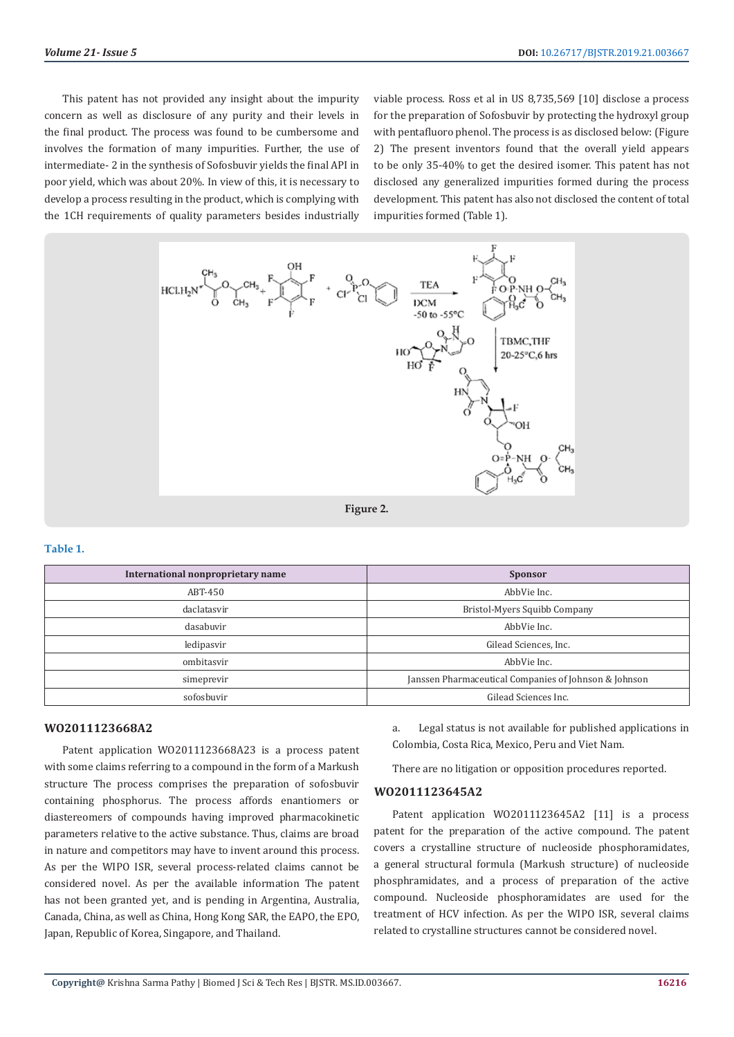This patent has not provided any insight about the impurity concern as well as disclosure of any purity and their levels in the final product. The process was found to be cumbersome and involves the formation of many impurities. Further, the use of intermediate- 2 in the synthesis of Sofosbuvir yields the final API in poor yield, which was about 20%. In view of this, it is necessary to develop a process resulting in the product, which is complying with the 1CH requirements of quality parameters besides industrially

viable process. Ross et al in US 8,735,569 [10] disclose a process for the preparation of Sofosbuvir by protecting the hydroxyl group with pentafluoro phenol. The process is as disclosed below: (Figure 2) The present inventors found that the overall yield appears to be only 35-40% to get the desired isomer. This patent has not disclosed any generalized impurities formed during the process development. This patent has also not disclosed the content of total impurities formed (Table 1).



**Figure 2.**

#### **Table 1.**

| International nonproprietary name | <b>Sponsor</b>                                        |
|-----------------------------------|-------------------------------------------------------|
| ABT-450                           | AbbVie Inc.                                           |
| daclatasvir                       | Bristol-Myers Squibb Company                          |
| dasabuvir                         | AbbVie Inc.                                           |
| ledipasvir                        | Gilead Sciences, Inc.                                 |
| ombitasvir                        | AbbVie Inc.                                           |
| simeprevir                        | Janssen Pharmaceutical Companies of Johnson & Johnson |
| sofosbuvir                        | Gilead Sciences Inc.                                  |

#### **WO2011123668A2**

Patent application WO2011123668A23 is a process patent with some claims referring to a compound in the form of a Markush structure The process comprises the preparation of sofosbuvir containing phosphorus. The process affords enantiomers or diastereomers of compounds having improved pharmacokinetic parameters relative to the active substance. Thus, claims are broad in nature and competitors may have to invent around this process. As per the WIPO ISR, several process-related claims cannot be considered novel. As per the available information The patent has not been granted yet, and is pending in Argentina, Australia, Canada, China, as well as China, Hong Kong SAR, the EAPO, the EPO, Japan, Republic of Korea, Singapore, and Thailand.

a. Legal status is not available for published applications in Colombia, Costa Rica, Mexico, Peru and Viet Nam.

There are no litigation or opposition procedures reported.

#### **WO2011123645A2**

Patent application WO2011123645A2 [11] is a process patent for the preparation of the active compound. The patent covers a crystalline structure of nucleoside phosphoramidates, a general structural formula (Markush structure) of nucleoside phosphramidates, and a process of preparation of the active compound. Nucleoside phosphoramidates are used for the treatment of HCV infection. As per the WIPO ISR, several claims related to crystalline structures cannot be considered novel.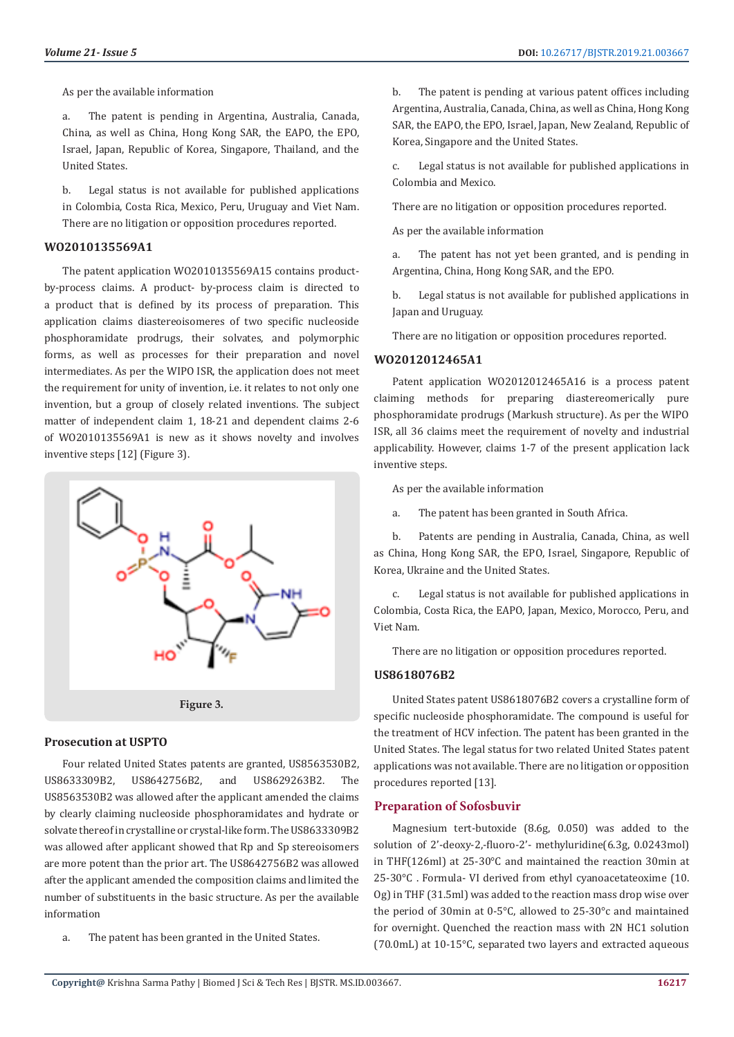As per the available information

a. The patent is pending in Argentina, Australia, Canada, China, as well as China, Hong Kong SAR, the EAPO, the EPO, Israel, Japan, Republic of Korea, Singapore, Thailand, and the United States.

b. Legal status is not available for published applications in Colombia, Costa Rica, Mexico, Peru, Uruguay and Viet Nam. There are no litigation or opposition procedures reported.

#### **WO2010135569A1**

The patent application WO2010135569A15 contains productby-process claims. A product- by-process claim is directed to a product that is defined by its process of preparation. This application claims diastereoisomeres of two specific nucleoside phosphoramidate prodrugs, their solvates, and polymorphic forms, as well as processes for their preparation and novel intermediates. As per the WIPO ISR, the application does not meet the requirement for unity of invention, i.e. it relates to not only one invention, but a group of closely related inventions. The subject matter of independent claim 1, 18-21 and dependent claims 2-6 of WO2010135569A1 is new as it shows novelty and involves inventive steps [12] (Figure 3).



#### **Prosecution at USPTO**

Four related United States patents are granted, US8563530B2, US8633309B2, US8642756B2, and US8629263B2. The US8563530B2 was allowed after the applicant amended the claims by clearly claiming nucleoside phosphoramidates and hydrate or solvate thereof in crystalline or crystal-like form. The US8633309B2 was allowed after applicant showed that Rp and Sp stereoisomers are more potent than the prior art. The US8642756B2 was allowed after the applicant amended the composition claims and limited the number of substituents in the basic structure. As per the available information

a. The patent has been granted in the United States.

b. The patent is pending at various patent offices including Argentina, Australia, Canada, China, as well as China, Hong Kong SAR, the EAPO, the EPO, Israel, Japan, New Zealand, Republic of Korea, Singapore and the United States.

c. Legal status is not available for published applications in Colombia and Mexico.

There are no litigation or opposition procedures reported.

As per the available information

a. The patent has not yet been granted, and is pending in Argentina, China, Hong Kong SAR, and the EPO.

b. Legal status is not available for published applications in Japan and Uruguay.

There are no litigation or opposition procedures reported.

#### **WO2012012465A1**

Patent application WO2012012465A16 is a process patent claiming methods for preparing diastereomerically pure phosphoramidate prodrugs (Markush structure). As per the WIPO ISR, all 36 claims meet the requirement of novelty and industrial applicability. However, claims 1-7 of the present application lack inventive steps.

As per the available information

a. The patent has been granted in South Africa.

b. Patents are pending in Australia, Canada, China, as well as China, Hong Kong SAR, the EPO, Israel, Singapore, Republic of Korea, Ukraine and the United States.

c. Legal status is not available for published applications in Colombia, Costa Rica, the EAPO, Japan, Mexico, Morocco, Peru, and Viet Nam.

There are no litigation or opposition procedures reported.

# **US8618076B2**

United States patent US8618076B2 covers a crystalline form of specific nucleoside phosphoramidate. The compound is useful for the treatment of HCV infection. The patent has been granted in the United States. The legal status for two related United States patent applications was not available. There are no litigation or opposition procedures reported [13].

## **Preparation of Sofosbuvir**

Magnesium tert-butoxide (8.6g, 0.050) was added to the solution of 2'-deoxy-2,-fluoro-2'- methyluridine(6.3g, 0.0243mol) in THF(126ml) at 25-30°C and maintained the reaction 30min at 25-30°C . Formula- VI derived from ethyl cyanoacetateoxime (10. Og) in THF (31.5ml) was added to the reaction mass drop wise over the period of 30min at 0-5°C, allowed to 25-30°c and maintained for overnight. Quenched the reaction mass with 2N HC1 solution (70.0mL) at 10-15°C, separated two layers and extracted aqueous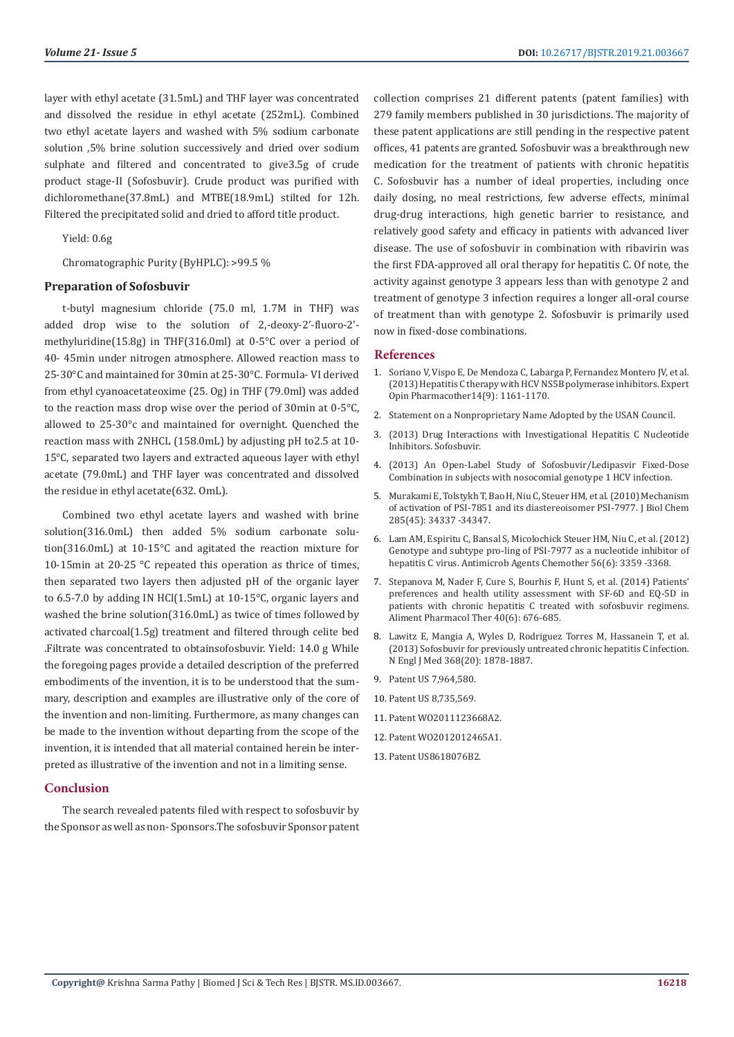layer with ethyl acetate (31.5mL) and THF layer was concentrated and dissolved the residue in ethyl acetate (252mL). Combined two ethyl acetate layers and washed with 5% sodium carbonate solution ,5% brine solution successively and dried over sodium sulphate and filtered and concentrated to give3.5g of crude product stage-II (Sofosbuvir). Crude product was purified with dichloromethane(37.8mL) and MTBE(18.9mL) stilted for 12h. Filtered the precipitated solid and dried to afford title product.

Yield: 0.6g

Chromatographic Purity (ByHPLC): >99.5 %

#### **Preparation of Sofosbuvir**

t-butyl magnesium chloride (75.0 ml, 1.7M in THF) was added drop wise to the solution of 2,-deoxy-2'-fluoro-2' methyluridine(15.8g) in THF(316.0ml) at 0-5°C over a period of 40- 45min under nitrogen atmosphere. Allowed reaction mass to 25-30°C and maintained for 30min at 25-30°C. Formula- VI derived from ethyl cyanoacetateoxime (25. Og) in THF (79.0ml) was added to the reaction mass drop wise over the period of 30min at 0-5°C, allowed to 25-30°c and maintained for overnight. Quenched the reaction mass with 2NHCL (158.0mL) by adjusting pH to2.5 at 10- 15°C, separated two layers and extracted aqueous layer with ethyl acetate (79.0mL) and THF layer was concentrated and dissolved the residue in ethyl acetate(632. OmL).

Combined two ethyl acetate layers and washed with brine solution(316.0mL) then added 5% sodium carbonate solution(316.0mL) at 10-15°C and agitated the reaction mixture for 10-15min at 20-25 °C repeated this operation as thrice of times, then separated two layers then adjusted pH of the organic layer to 6.5-7.0 by adding IN HCl(1.5mL) at 10-15°C, organic layers and washed the brine solution(316.0mL) as twice of times followed by activated charcoal(1.5g) treatment and filtered through celite bed .Filtrate was concentrated to obtainsofosbuvir. Yield: 14.0 g While the foregoing pages provide a detailed description of the preferred embodiments of the invention, it is to be understood that the summary, description and examples are illustrative only of the core of the invention and non-limiting. Furthermore, as many changes can be made to the invention without departing from the scope of the invention, it is intended that all material contained herein be interpreted as illustrative of the invention and not in a limiting sense.

# **Conclusion**

The search revealed patents filed with respect to sofosbuvir by the Sponsor as well as non- Sponsors.The sofosbuvir Sponsor patent collection comprises 21 different patents (patent families) with 279 family members published in 30 jurisdictions. The majority of these patent applications are still pending in the respective patent offices, 41 patents are granted. Sofosbuvir was a breakthrough new medication for the treatment of patients with chronic hepatitis C. Sofosbuvir has a number of ideal properties, including once daily dosing, no meal restrictions, few adverse effects, minimal drug-drug interactions, high genetic barrier to resistance, and relatively good safety and efficacy in patients with advanced liver disease. The use of sofosbuvir in combination with ribavirin was the first FDA-approved all oral therapy for hepatitis C. Of note, the activity against genotype 3 appears less than with genotype 2 and treatment of genotype 3 infection requires a longer all-oral course of treatment than with genotype 2. Sofosbuvir is primarily used now in fixed-dose combinations.

#### **References**

- 1. [Soriano V, Vispo E, De Mendoza C, Labarga P, Fernandez Montero JV, et al.](https://www.ncbi.nlm.nih.gov/pubmed/23621117) [\(2013\) Hepatitis C therapy with HCV NS5B polymerase inhibitors.](https://www.ncbi.nlm.nih.gov/pubmed/23621117) Expert [Opin Pharmacother14\(9\): 1161-1170.](https://www.ncbi.nlm.nih.gov/pubmed/23621117)
- 2. Statement on a Nonproprietary Name Adopted by the USAN Council.
- 3. (2013) Drug Interactions with Investigational Hepatitis C Nucleotide Inhibitors. Sofosbuvir.
- 4. (2013) An Open-Label Study of Sofosbuvir/Ledipasvir Fixed-Dose Combination in subjects with nosocomial genotype 1 HCV infection.
- 5. [Murakami E, Tolstykh T, Bao H, Niu C, Steuer HM, et al. \(2010\) Mechanism](https://www.ncbi.nlm.nih.gov/pubmed/20801890) [of activation of PSI-7851 and its diastereoisomer PSI-7977.](https://www.ncbi.nlm.nih.gov/pubmed/20801890) J Biol Chem [285\(45\): 34337 -34347.](https://www.ncbi.nlm.nih.gov/pubmed/20801890)
- 6. [Lam AM, Espiritu C, Bansal S, Micolochick Steuer HM, Niu C, et al. \(2012\)](https://www.ncbi.nlm.nih.gov/pubmed/22430955) [Genotype and subtype pro-ling of PSI-7977 as a nucleotide inhibitor of](https://www.ncbi.nlm.nih.gov/pubmed/22430955) hepatitis C virus. [Antimicrob Agents Chemother 56\(6\): 3359 -3368.](https://www.ncbi.nlm.nih.gov/pubmed/22430955)
- 7. Stepanova M, Nader F, Cure S, Bourhis F, Hunt S, et al. (2014) Patients' preferences and health utility assessment with SF-6D and EQ-5D in patients with chronic hepatitis C treated with sofosbuvir regimens. Aliment Pharmacol Ther 40(6): 676-685.
- 8. [Lawitz E, Mangia A, Wyles D, Rodriguez Torres M, Hassanein T, et al.](https://www.ncbi.nlm.nih.gov/pubmed/23607594) [\(2013\) Sofosbuvir for previously untreated chronic hepatitis C infection.](https://www.ncbi.nlm.nih.gov/pubmed/23607594) [N Engl J Med 368\(20\): 1878-1887.](https://www.ncbi.nlm.nih.gov/pubmed/23607594)
- 9. Patent US 7,964,580.
- 10. Patent US 8,735,569.
- 11. Patent [WO2011123668A2.](http://www.thomsoninnovation.com/tip-innovation/externalLink.do?data=RiStzcJ5873L16uJgFMlkdHCvZk5HVz9jyDHmG5O3oux76COAZHIjMNddLM7h8Qg6UHwjJvZKqhFQVzTJ6uKQrrtN4%2BbDocc212l%2FZ26u6Xhkvv2yn2QdGfU5INu7yK73UhR4OIDPpqg%2FuEJy2tdZ25JEH4BHfz9KAimPb9rXdjK14NMDzR6hHNpDsjKFytKFkpowfKxGGfNo8kMKOfl0x%2BDWNeImJEmxIvxOrgdzz1l9ArTZ%2BgReHEVoSFFPHi8I5E6isP%2FhTEraqrKLL7Ezg%3D%3D&code=fdc415c5b4194c0a88785343729ac673)
- 12. Patent [WO2012012465A1.](http://www.thomsoninnovation.com/tip-innovation/externalLink.do?data=RiStzcJ5873L16uJgFMlkdHCvZk5HVz9jyDHmG5O3oux76COAZHIjMNddLM7h8Qg6UHwjJvZKqhFQVzTJ6uKQrrtN4%2BbDocc212l%2FZ26u6XpGFxOPs0TPoTce2lYQr5kKxq8dKfbh5KYZC3vluMZ8TY1HfQTSOsqQ4qxRPkIisAXLRuJ9grYvQf%2Fxqt4KDlo1TiNeQVEtCaodyTFYsoxtX7slg8BdQ0edBaDm3Kp6vSztnRqLfkFkledoQ8okDWreHUg7Q%2BKz5%2FZZmxWckJpng%3D%3D&code=22eeaf299af99fdb3e9b33105855808a)
- 13. Patent [US8618076B2.](http://www.thomsoninnovation.com/tip-innovation/externalLink.do?data=RiStzcJ5873L16uJgFMlkdHCvZk5HVz9jyDHmG5O3oux76COAZHIjMNddLM7h8Qg6UHwjJvZKqhFQVzTJ6uKQrrtN4%2BbDocc212l%2FZ26u6VHFmlDL5hUM9MZvBpHgNU4bDrp6zL1uTI6wKRZv69KMQqVFSqr117Xtp2VnyhVT6i2LXqcHfgFi2BV7eu5ykEsUarLVILAvgFQIRx72hhdme2a0462wbOnYXyPKG9j9mBcIZ61KLh%2FU1sg9J2TmLXmf%2FaP8M7SMHp8nFG2%2FGh3Sw%3D%3D&code=6bd6c55a4d0f43bb2539688d02123639)